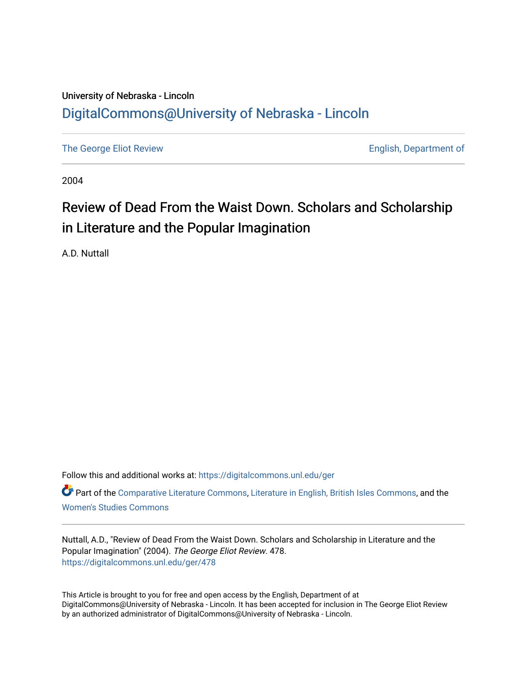## University of Nebraska - Lincoln [DigitalCommons@University of Nebraska - Lincoln](https://digitalcommons.unl.edu/)

[The George Eliot Review](https://digitalcommons.unl.edu/ger) **English, Department of** 

2004

## Review of Dead From the Waist Down. Scholars and Scholarship in Literature and the Popular Imagination

A.D. Nuttall

Follow this and additional works at: [https://digitalcommons.unl.edu/ger](https://digitalcommons.unl.edu/ger?utm_source=digitalcommons.unl.edu%2Fger%2F478&utm_medium=PDF&utm_campaign=PDFCoverPages) 

Part of the [Comparative Literature Commons](http://network.bepress.com/hgg/discipline/454?utm_source=digitalcommons.unl.edu%2Fger%2F478&utm_medium=PDF&utm_campaign=PDFCoverPages), [Literature in English, British Isles Commons,](http://network.bepress.com/hgg/discipline/456?utm_source=digitalcommons.unl.edu%2Fger%2F478&utm_medium=PDF&utm_campaign=PDFCoverPages) and the [Women's Studies Commons](http://network.bepress.com/hgg/discipline/561?utm_source=digitalcommons.unl.edu%2Fger%2F478&utm_medium=PDF&utm_campaign=PDFCoverPages)

Nuttall, A.D., "Review of Dead From the Waist Down. Scholars and Scholarship in Literature and the Popular Imagination" (2004). The George Eliot Review. 478. [https://digitalcommons.unl.edu/ger/478](https://digitalcommons.unl.edu/ger/478?utm_source=digitalcommons.unl.edu%2Fger%2F478&utm_medium=PDF&utm_campaign=PDFCoverPages) 

This Article is brought to you for free and open access by the English, Department of at DigitalCommons@University of Nebraska - Lincoln. It has been accepted for inclusion in The George Eliot Review by an authorized administrator of DigitalCommons@University of Nebraska - Lincoln.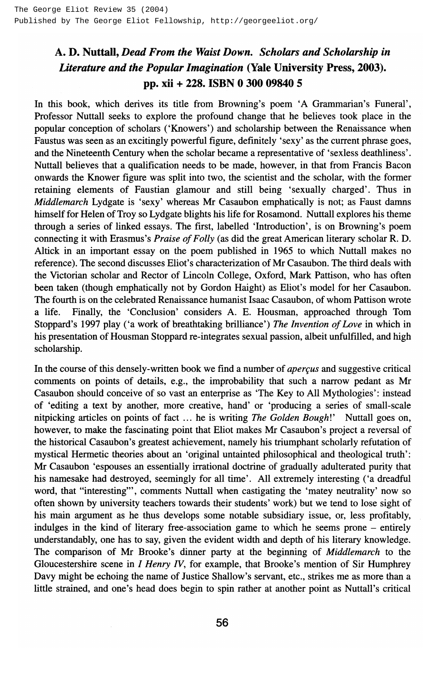## A. D. Nuttall, *Dead From the Waist Down. Scholars and Scholarship in Literature and the Popular Imagination* (Yale University Press, 2003). pp. xii + 228. ISBN 0 300 09840 5

In this book, which derives its title from Browning's poem 'A Grammarian's Funeral', Professor Nuttall seeks to explore the profound change that he believes took place in the popular conception of scholars ('Knowers') and scholarship between the Renaissance when Faustus was seen as an excitingly powerful figure, definitely 'sexy' as the current phrase goes, and the Nineteenth Century when the scholar became a representative of 'sexless deathliness'. Nuttall believes that a qualification needs to be made, however, in that from Francis Bacon onwards the Knower figure was split into two, the scientist and the scholar, with the former retaining elements of Faustian glamour and still being 'sexually charged'. Thus in *Middlemarch* Lydgate is 'sexy' whereas Mr Casaubon emphatically is not; as Faust damns himself for Helen of Troy so Lydgate blights his life for Rosamond. Nuttall explores his theme through a series of linked essays. The first, labelled 'Introduction', is on Browning's poem connecting it with Erasmus's *Praise of Folly* (as did the great American literary scholar R. D. Altick in an important essay on the poem published in 1965 to which Nuttall makes no reference). The second discusses Eliot's characterization of Mr Casaubon. The third deals with the Victorian scholar and Rector of Lincoln College, Oxford, Mark Pattison, who has often been taken (though emphatically not by Gordon Haight) as Eliot's model for her Casaubon. The fourth is on the celebrated Renaissance humanist Isaac Casaubon, of whom Pattison wrote a life. Finally, the 'Conclusion' considers A. E. Housman, approached through Tom Stoppard's 1997 play ('a work of breathtaking brilliance') *The Invention of Love* in which in his presentation of Housman Stoppard re-integrates sexual passion, albeit unfulfilled, and high scholarship.

In the course of this densely-written book we find a number of *apercus* and suggestive critical comments on points of details, e.g., the improbability that such a narrow pedant as Mr Casaubon should conceive of so vast an enterprise as 'The Key to All Mythologies': instead of 'editing a text by another, more creative, hand' or 'producing a series of small-scale nitpicking articles on points of fact ... he is writing *The Golden Bough!'* Nuttall goes on, however, to make the fascinating point that Eliot makes Mr Casaubon's project a reversal of the historical Casaubon's greatest achievement, namely his triumphant scholarly refutation of mystical Hermetic theories about an 'original untainted philosophical and theological truth': Mr Casaubon 'espouses an essentially irrational doctrine of gradually adulterated purity that his namesake had destroyed, seemingly for all time'. All extremely interesting ('a dreadful word, that "interesting"', comments Nuttall when castigating the 'matey neutrality' now so often shown by university teachers towards their students' work) but we tend to lose sight of his main argument as he thus develops some notable subsidiary issue, or, less profitably, indulges in the kind of literary free-association game to which he seems prone - entirely understandably, one has to say, given the evident width and depth of his literary knowledge. The comparison of Mr Brooke's dinner party at the beginning of *Middlemarch* to the Gloucestershire scene in *I Henry IV,* for example, that Brooke's mention of Sir Humphrey Davy might be echoing the name of Justice Shallow's servant, etc., strikes me as more than a little strained, and one's head does begin to spin rather at another point as Nuttall's critical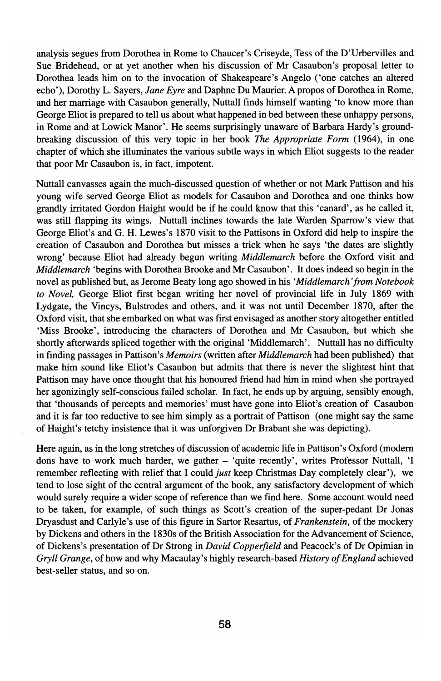analysis segues from Dorothea in Rome to Chaucer's Criseyde, Tess of the D'Urbervilles and Sue Bridehead, or at yet another when his discussion of Mr Casaubon's proposal letter to Dorothea leads him on to the invocation of Shakespeare's Angelo ('one catches an altered echo'), Dorothy L. Sayers, *lane Eyre* and Daphne Du Maurier. A propos of Dorothea in Rome, and her marriage with Casaubon generally, Nuttall finds himself wanting 'to know more than George Eliot is prepared to tell us about what happened in bed between these unhappy persons, in Rome and at Lowick Manor'. He seems surprisingly unaware of Barbara Hardy's groundbreaking discussion of this very topic in her book *The Appropriate Form* (1964), in one chapter of which she illuminates the various subtle ways in which Eliot suggests to the reader that poor Mr Casaubon is, in fact, impotent.

Nuttall canvasses again the much-discussed question of whether or not Mark Pattison and his young wife served George Eliot as models for Casaubon and Dorothea and one thinks how grandly irritated Gordon Haight would be if he could know that this 'canard', as he called it, was still flapping its wings. Nuttall inclines towards the late Warden Sparrow's view that George Eliot's and G. H. Lewes's 1870 visit to the Pattisons in Oxford did help to inspire the creation of Casaubon and Dorothea but misses a trick when he says 'the dates are slightly wrong' because Eliot had already begun writing *Middlemarch* before the Oxford visit and *Middlemarch* 'begins with Dorothea Brooke and Mr Casaubon'. It does indeed so begin in the novel as published but, as Jerome Beaty long ago showed in his *'Middlemarch 'from Notebook to Novel,* George Eliot first began writing her novel of provincial life in July 1869 with Lydgate, the Vincys, Bulstrodes and others, and it was not until December 1870, after the Oxford visit, that she embarked on what was first envisaged as another story altogether entitled 'Miss Brooke', introducing the characters of Dorothea and Mr Casaubon, but which she shortly afterwards spliced together with the original 'Middlemarch'. Nuttall has no difficulty in finding passages in Pattison's *Memoirs* (written after *Middlemarch* had been published) that make him sound like Eliot's Casaubon but admits that there is never the slightest hint that Pattison may have once thought that his honoured friend had him in mind when she portrayed her agonizingly self-conscious failed scholar. **In** fact, he ends up by arguing, sensibly enough, that 'thousands of percepts and memories' must have gone into Eliot's creation of Casaubon and it is far too reductive to see him simply as a portrait of Pattison (one might say the same of Haight's tetchy insistence that it was unforgiven Dr Brabant she was depicting).

Here again, as in the long stretches of discussion of academic life in Pattison's Oxford (modern dons have to work much harder, we gather - 'quite recently', writes Professor Nuttall, 'I remember reflecting with relief that I could *just* keep Christmas Day completely clear'), we tend to lose sight of the central argument of the book, any satisfactory development of which would surely require a wider scope of reference than we find here. Some account would need to be taken, for example, of such things as Scott's creation of the super-pedant Dr Jonas Dryasdust and Carlyle's use of this figure in Sartor Resartus, of *Frankenstein,* of the mockery by Dickens and others in the l830s of the British Association for the Advancement of Science, of Dickens's presentation of Dr Strong in *David Copperfield* and Peacock's of Dr Opimian in *Gryll Grange,* of how and why Macaulay's highly research-based *History of England* achieved best-seller status, and so on.